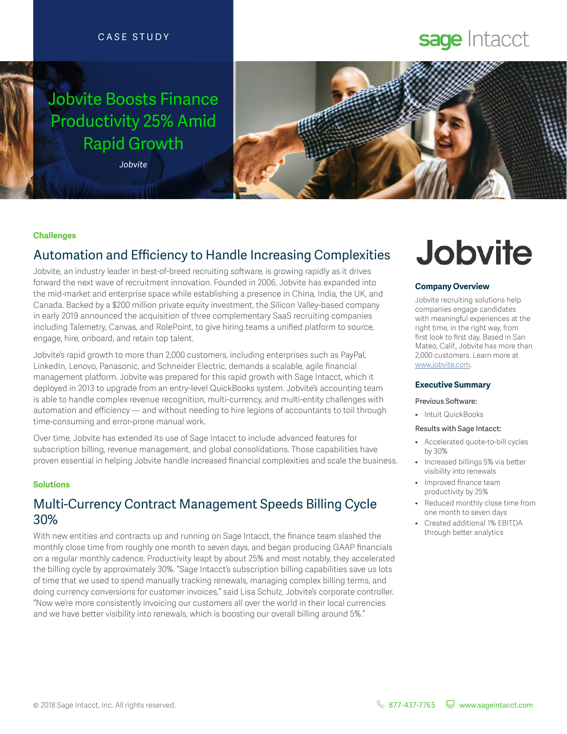### CASE STUDY

# Jobvite Boosts Finance Productivity 25% Amid Rapid Growth

*Jobvite*



#### **Challenges**

# Automation and Efficiency to Handle Increasing Complexities

Jobvite, an industry leader in best-of-breed recruiting software, is growing rapidly as it drives forward the next wave of recruitment innovation. Founded in 2006, Jobvite has expanded into the mid-market and enterprise space while establishing a presence in China, India, the UK, and Canada. Backed by a \$200 million private equity investment, the Silicon Valley-based company in early 2019 announced the acquisition of three complementary SaaS recruiting companies including Talemetry, Canvas, and RolePoint, to give hiring teams a unified platform to source, engage, hire, onboard, and retain top talent.

Jobvite's rapid growth to more than 2,000 customers, including enterprises such as PayPal, LinkedIn, Lenovo, Panasonic, and Schneider Electric, demands a scalable, agile financial management platform. Jobvite was prepared for this rapid growth with Sage Intacct, which it deployed in 2013 to upgrade from an entry-level QuickBooks system. Jobvite's accounting team is able to handle complex revenue recognition, multi-currency, and multi-entity challenges with automation and efficiency — and without needing to hire legions of accountants to toil through time-consuming and error-prone manual work.

Over time, Jobvite has extended its use of Sage Intacct to include advanced features for subscription billing, revenue management, and global consolidations. Those capabilities have proven essential in helping Jobvite handle increased financial complexities and scale the business.

#### **Solutions**

## Multi-Currency Contract Management Speeds Billing Cycle 30%

With new entities and contracts up and running on Sage Intacct, the finance team slashed the monthly close time from roughly one month to seven days, and began producing GAAP financials on a regular monthly cadence. Productivity leapt by about 25% and most notably, they accelerated the billing cycle by approximately 30%. "Sage Intacct's subscription billing capabilities save us lots of time that we used to spend manually tracking renewals, managing complex billing terms, and doing currency conversions for customer invoices," said Lisa Schulz, Jobvite's corporate controller. "Now we're more consistently invoicing our customers all over the world in their local currencies and we have better visibility into renewals, which is boosting our overall billing around 5%."

# **Jobvite**

sage Intacct

#### **Company Overview**

Jobvite recruiting solutions help companies engage candidates with meaningful experiences at the right time, in the right way, from first look to first day. Based in San Mateo, Calif., Jobvite has more than 2,000 customers. Learn more at www.jobvite.com.

#### **Executive Summary**

#### Previous Software:

• Intuit QuickBooks

#### Results with Sage Intacct:

- Accelerated quote-to-bill cycles by 30%
- Increased billings 5% via better visibility into renewals
- Improved finance team productivity by 25%
- Reduced monthly close time from one month to seven days
- Created additional 1% EBITDA through better analytics